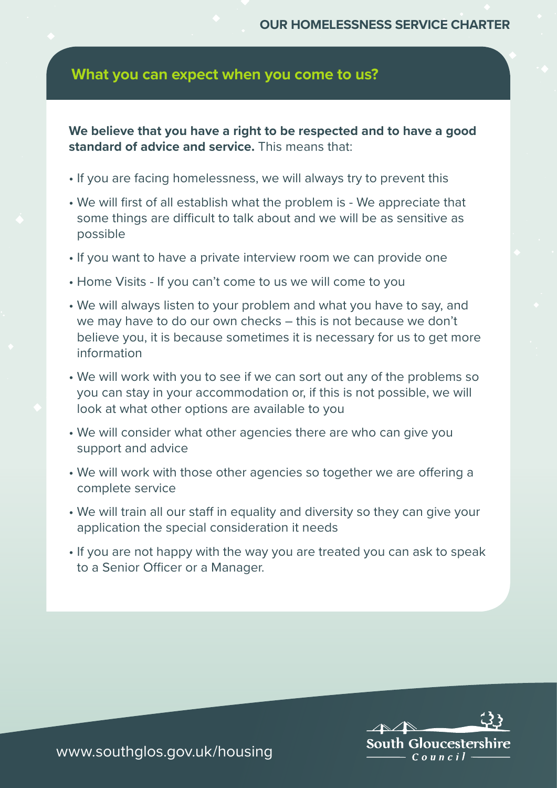## **What you can expect when you come to us?**

**We believe that you have a right to be respected and to have a good standard of advice and service.** This means that:

- If you are facing homelessness, we will always try to prevent this
- We will first of all establish what the problem is We appreciate that some things are difficult to talk about and we will be as sensitive as possible
- If you want to have a private interview room we can provide one
- Home Visits If you can't come to us we will come to you
- We will always listen to your problem and what you have to say, and we may have to do our own checks – this is not because we don't believe you, it is because sometimes it is necessary for us to get more information
- We will work with you to see if we can sort out any of the problems so you can stay in your accommodation or, if this is not possible, we will look at what other options are available to you
- We will consider what other agencies there are who can give you support and advice
- We will work with those other agencies so together we are offering a complete service
- We will train all our staff in equality and diversity so they can give your application the special consideration it needs
- If you are not happy with the way you are treated you can ask to speak to a Senior Officer or a Manager.



www.southglos.gov.uk/housing